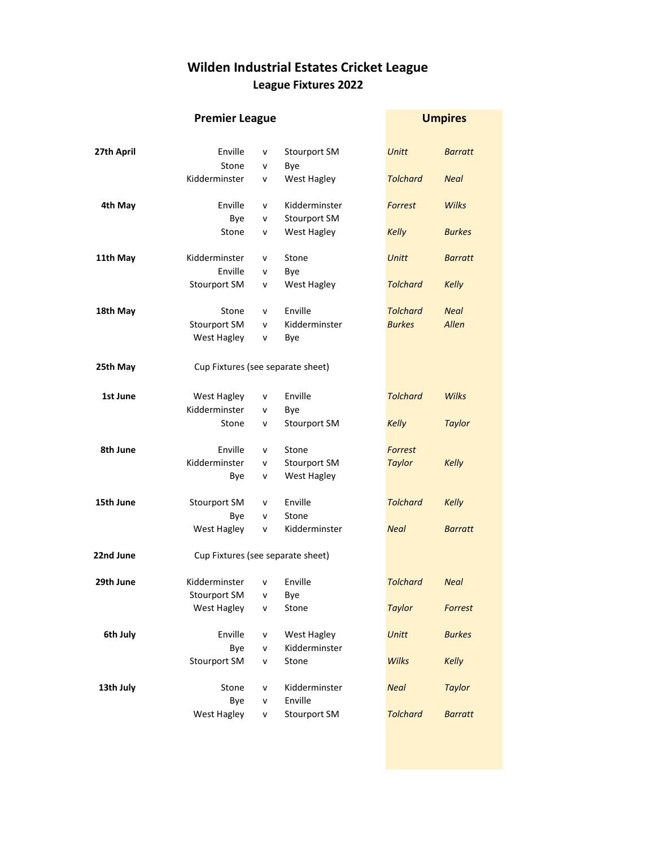## Wilden Industrial Estates Cricket League League Fixtures 2022

|            |                                   | <b>Umpires</b> |                     |                 |                |
|------------|-----------------------------------|----------------|---------------------|-----------------|----------------|
|            |                                   |                |                     |                 |                |
| 27th April | Enville                           | v              | Stourport SM        | <b>Unitt</b>    | <b>Barratt</b> |
|            | Stone                             | v              | Bye                 |                 |                |
|            | Kidderminster                     | v              | West Hagley         | <b>Tolchard</b> | <b>Neal</b>    |
| 4th May    | Enville                           | v              | Kidderminster       | Forrest         | Wilks          |
|            | Bye                               | v              | Stourport SM        |                 |                |
|            | Stone                             | v              | West Hagley         | <b>Kelly</b>    | <b>Burkes</b>  |
| 11th May   | Kidderminster                     | v              | Stone               | <b>Unitt</b>    | <b>Barratt</b> |
|            | Enville                           | v              | Bye                 |                 |                |
|            | Stourport SM                      | v              | West Hagley         | <b>Tolchard</b> | <b>Kelly</b>   |
| 18th May   | Stone                             | v              | Enville             | <b>Tolchard</b> | <b>Neal</b>    |
|            | Stourport SM                      | v              | Kidderminster       | <b>Burkes</b>   | Allen          |
|            | West Hagley                       | v              | Bye                 |                 |                |
| 25th May   | Cup Fixtures (see separate sheet) |                |                     |                 |                |
| 1st June   | West Hagley                       | v              | Enville             | <b>Tolchard</b> | <b>Wilks</b>   |
|            | Kidderminster                     | v              | Bye                 |                 |                |
|            | Stone                             | v              | <b>Stourport SM</b> | <b>Kelly</b>    | <b>Taylor</b>  |
| 8th June   | Enville                           | v              | Stone               | Forrest         |                |
|            | Kidderminster                     | v              | Stourport SM        | <b>Taylor</b>   | <b>Kelly</b>   |
|            | Bye                               | v              | <b>West Hagley</b>  |                 |                |
| 15th June  | Stourport SM                      | v              | Enville             | <b>Tolchard</b> | <b>Kelly</b>   |
|            | Bye                               | v              | Stone               |                 |                |
|            | West Hagley                       | v              | Kidderminster       | <b>Neal</b>     | <b>Barratt</b> |
| 22nd June  | Cup Fixtures (see separate sheet) |                |                     |                 |                |
| 29th June  | Kidderminster                     | $\mathsf{v}$   | Enville             | <b>Tolchard</b> | <b>Neal</b>    |
|            | Stourport SM                      | v              | Bye                 |                 |                |
|            | West Hagley                       | v              | Stone               | <b>Taylor</b>   | Forrest        |
| 6th July   | Enville                           | v              | West Hagley         | <b>Unitt</b>    | <b>Burkes</b>  |
|            | Bye                               | v              | Kidderminster       |                 |                |
|            | Stourport SM                      | v              | Stone               | <b>Wilks</b>    | <b>Kelly</b>   |
| 13th July  | Stone                             | v              | Kidderminster       | <b>Neal</b>     | <b>Taylor</b>  |
|            | Bye                               | v              | Enville             |                 |                |
|            | West Hagley                       | v              | <b>Stourport SM</b> | <b>Tolchard</b> | <b>Barratt</b> |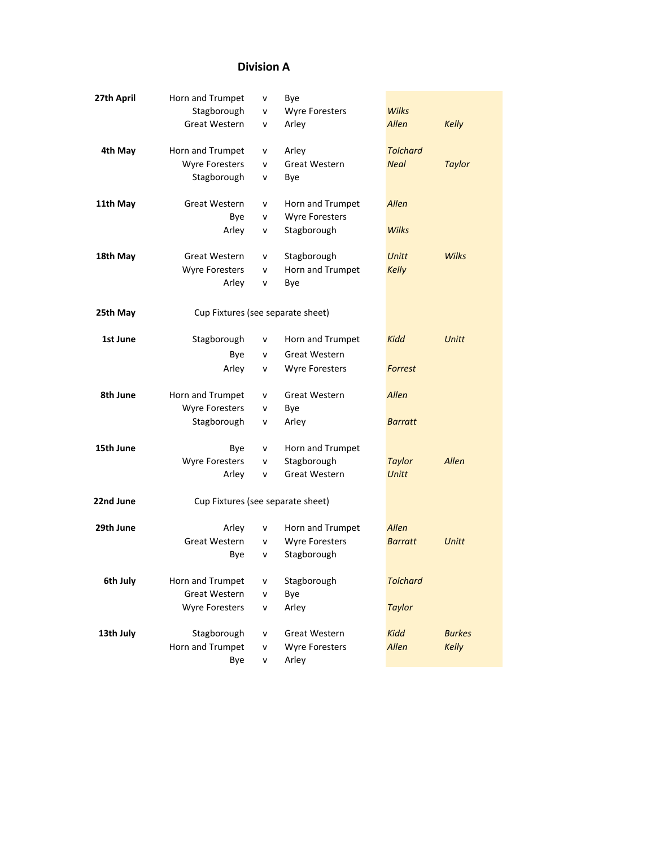## Division A

| 27th April | Horn and Trumpet                  | v            | Bye                   |                 |               |
|------------|-----------------------------------|--------------|-----------------------|-----------------|---------------|
|            | Stagborough                       | $\mathsf{v}$ | <b>Wyre Foresters</b> | <b>Wilks</b>    |               |
|            | <b>Great Western</b>              | v            | Arley                 | Allen           | <b>Kelly</b>  |
| 4th May    | Horn and Trumpet                  | V            | Arley                 | <b>Tolchard</b> |               |
|            | <b>Wyre Foresters</b>             | v            | Great Western         | <b>Neal</b>     | <b>Taylor</b> |
|            | Stagborough                       | v            | Bye                   |                 |               |
| 11th May   | Great Western                     | v            | Horn and Trumpet      | Allen           |               |
|            | Bye                               | v            | <b>Wyre Foresters</b> |                 |               |
|            | Arley                             | v            | Stagborough           | <b>Wilks</b>    |               |
| 18th May   | Great Western                     | v            | Stagborough           | <b>Unitt</b>    | <b>Wilks</b>  |
|            | <b>Wyre Foresters</b>             | v            | Horn and Trumpet      | <b>Kelly</b>    |               |
|            | Arley                             | v            | Bye                   |                 |               |
| 25th May   | Cup Fixtures (see separate sheet) |              |                       |                 |               |
| 1st June   | Stagborough                       | v            | Horn and Trumpet      | Kidd            | <b>Unitt</b>  |
|            | Bye                               | $\mathsf{v}$ | Great Western         |                 |               |
|            | Arley                             | v            | <b>Wyre Foresters</b> | Forrest         |               |
|            |                                   |              |                       |                 |               |
| 8th June   | Horn and Trumpet                  | v            | Great Western         | Allen           |               |
|            | Wyre Foresters                    | v            | Bye                   |                 |               |
|            | Stagborough                       | v            | Arley                 | <b>Barratt</b>  |               |
| 15th June  | Bye                               | v            | Horn and Trumpet      |                 |               |
|            | Wyre Foresters                    | v            | Stagborough           | <b>Taylor</b>   | Allen         |
|            | Arley                             | v            | Great Western         | <b>Unitt</b>    |               |
| 22nd June  | Cup Fixtures (see separate sheet) |              |                       |                 |               |
| 29th June  | Arley                             | v            | Horn and Trumpet      | Allen           |               |
|            | Great Western                     | $\mathsf{v}$ | <b>Wyre Foresters</b> | <b>Barratt</b>  | <b>Unitt</b>  |
|            | Bye                               | v            | Stagborough           |                 |               |
| 6th July   | Horn and Trumpet                  | v            | Stagborough           | <b>Tolchard</b> |               |
|            | <b>Great Western</b>              | ٧            | Bye                   |                 |               |
|            | <b>Wyre Foresters</b>             | v            | Arley                 | <b>Taylor</b>   |               |
| 13th July  | Stagborough                       | v            | Great Western         | Kidd            | <b>Burkes</b> |
|            | Horn and Trumpet                  | V            | <b>Wyre Foresters</b> | Allen           | Kelly         |
|            | Bye                               | V            | Arley                 |                 |               |